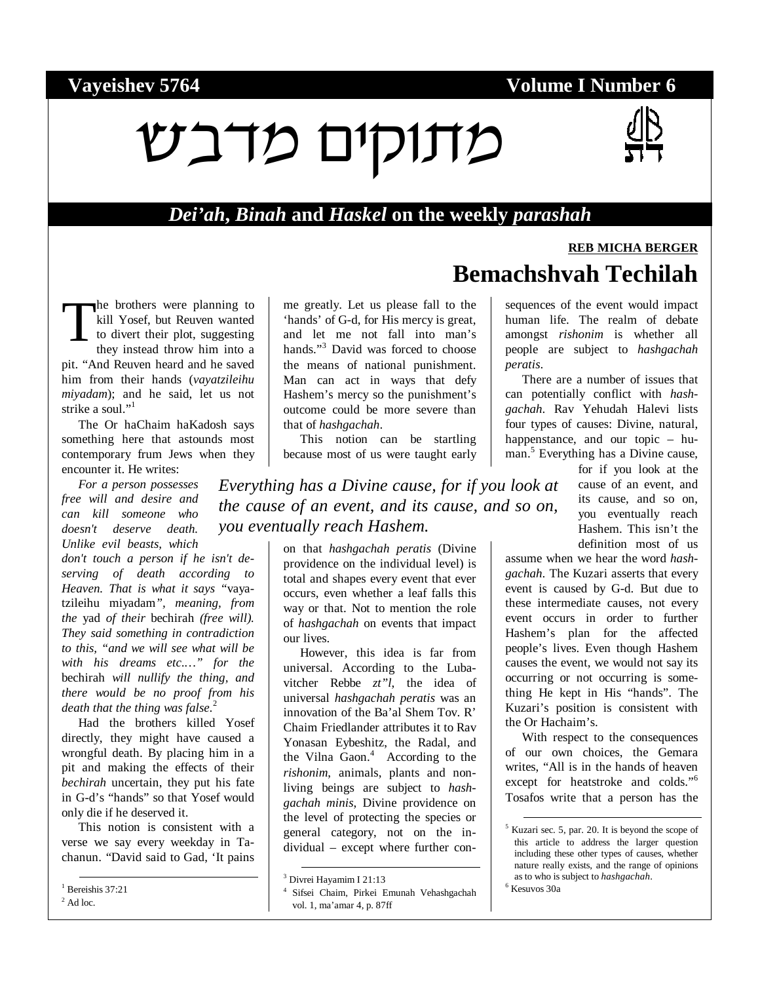#### **Vayeishev 5764 Volume I Number 6**

# ùáãî íé÷åúî



#### *Dei'ah***,** *Binah* **and** *Haskel* **on the weekly** *parashah*

he brothers were planning to kill Yosef, but Reuven wanted to divert their plot, suggesting they instead throw him into a pit. "And Reuven heard and he saved him from their hands (*vayatzileihu miyadam*); and he said, let us not strike a soul."<sup>1</sup> T

The Or haChaim haKadosh says something here that astounds most contemporary frum Jews when they encounter it. He writes:

*For a person possesses free will and desire and can kill someone who doesn't deserve death. Unlike evil beasts, which* 

*don't touch a person if he isn't deserving of death according to Heaven. That is what it says "*vayatzileihu miyadam*", meaning, from the* yad *of their* bechirah *(free will). They said something in contradiction to this, "and we will see what will be with his dreams etc.…" for the*  bechirah *will nullify the thing, and there would be no proof from his death that the thing was false.*<sup>2</sup>

Had the brothers killed Yosef directly, they might have caused a wrongful death. By placing him in a pit and making the effects of their *bechirah* uncertain, they put his fate in G-d's "hands" so that Yosef would only die if he deserved it.

This notion is consistent with a verse we say every weekday in Tachanun. "David said to Gad, 'It pains

<sup>1</sup> Bereishis 37:21  $<sup>2</sup>$  Ad loc.</sup>

me greatly. Let us please fall to the 'hands' of G-d, for His mercy is great, and let me not fall into man's hands."<sup>3</sup> David was forced to choose the means of national punishment. Man can act in ways that defy Hashem's mercy so the punishment's outcome could be more severe than that of *hashgachah*.

This notion can be startling because most of us were taught early

*Everything has a Divine cause, for if you look at the cause of an event, and its cause, and so on, you eventually reach Hashem.*

> on that *hashgachah peratis* (Divine providence on the individual level) is total and shapes every event that ever occurs, even whether a leaf falls this way or that. Not to mention the role of *hashgachah* on events that impact our lives.

> However, this idea is far from universal. According to the Lubavitcher Rebbe *zt"l*, the idea of universal *hashgachah peratis* was an innovation of the Ba'al Shem Tov. R' Chaim Friedlander attributes it to Rav Yonasan Eybeshitz, the Radal, and the Vilna Gaon.<sup>4</sup> According to the *rishonim*, animals, plants and nonliving beings are subject to *hashgachah minis*, Divine providence on the level of protecting the species or general category, not on the individual – except where further con-

## **REB MICHA BERGER Bemachshvah Techilah**

sequences of the event would impact human life. The realm of debate amongst *rishonim* is whether all people are subject to *hashgachah peratis*.

There are a number of issues that can potentially conflict with *hashgachah*. Rav Yehudah Halevi lists four types of causes: Divine, natural, happenstance, and our topic – human.<sup>5</sup> Everything has a Divine cause,

for if you look at the cause of an event, and its cause, and so on, you eventually reach Hashem. This isn't the definition most of us

assume when we hear the word *hashgachah*. The Kuzari asserts that every event is caused by G-d. But due to these intermediate causes, not every event occurs in order to further Hashem's plan for the affected people's lives. Even though Hashem causes the event, we would not say its occurring or not occurring is something He kept in His "hands". The Kuzari's position is consistent with the Or Hachaim's.

With respect to the consequences of our own choices, the Gemara writes, "All is in the hands of heaven except for heatstroke and colds."<sup>6</sup> Tosafos write that a person has the

 <sup>3</sup> Divrei Hayamim I 21:13

<sup>4</sup> Sifsei Chaim, Pirkei Emunah Vehashgachah vol. 1, ma'amar 4, p. 87ff

 <sup>5</sup> Kuzari sec. 5, par. 20. It is beyond the scope of this article to address the larger question including these other types of causes, whether nature really exists, and the range of opinions as to who is subject to *hashgachah*. 6 <sup>6</sup> Kesuvos 30a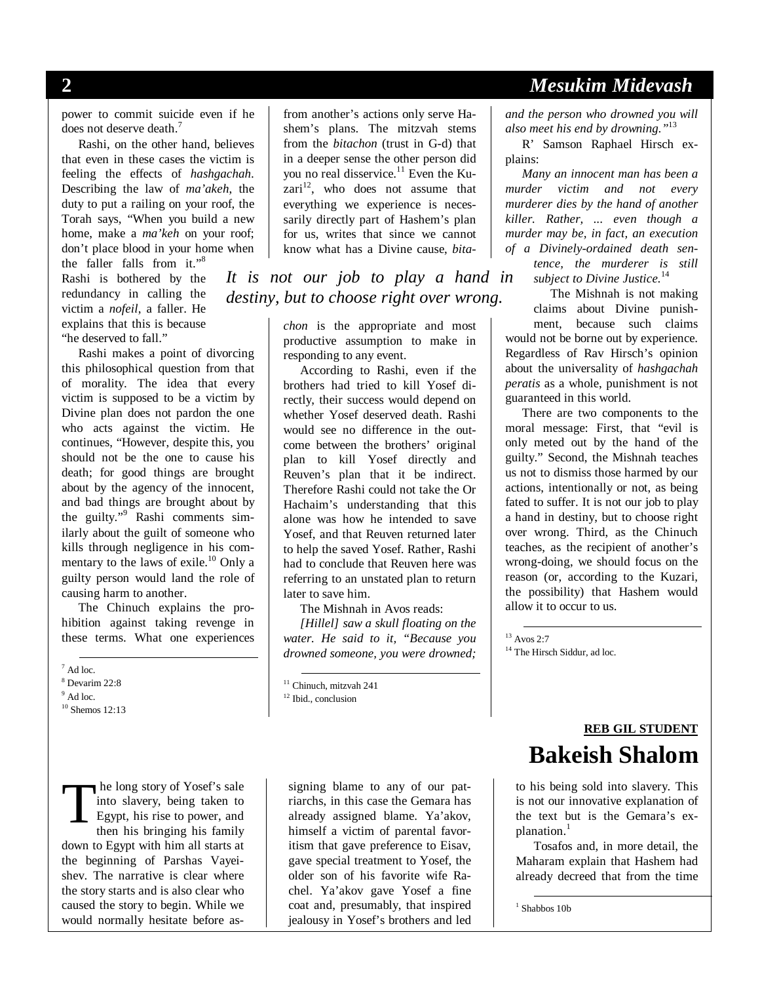#### **2** *Mesukim Midevash*

power to commit suicide even if he does not deserve death.<sup>7</sup>

Rashi, on the other hand, believes that even in these cases the victim is feeling the effects of *hashgachah*. Describing the law of *ma'akeh*, the duty to put a railing on your roof, the Torah says, "When you build a new home, make a *ma'keh* on your roof; don't place blood in your home when

the faller falls from it." $8$ Rashi is bothered by the redundancy in calling the victim a *nofeil*, a faller. He explains that this is because "he deserved to fall."

Rashi makes a point of divorcing this philosophical question from that of morality. The idea that every victim is supposed to be a victim by Divine plan does not pardon the one who acts against the victim. He continues, "However, despite this, you should not be the one to cause his death; for good things are brought about by the agency of the innocent, and bad things are brought about by the guilty."<sup>9</sup> Rashi comments similarly about the guilt of someone who kills through negligence in his commentary to the laws of exile.<sup>10</sup> Only a guilty person would land the role of causing harm to another.

The Chinuch explains the prohibition against taking revenge in these terms. What one experiences

 $\frac{1}{\pi}$  Ad loc.

8 Devarim 22:8

 $9$  Ad loc.

<sup>10</sup> Shemos 12:13

 he long story of Yosef's sale into slavery, being taken to Egypt, his rise to power, and then his bringing his family down to Egypt with him all starts at the beginning of Parshas Vayeishev. The narrative is clear where the story starts and is also clear who caused the story to begin. While we would normally hesitate before as-T

from another's actions only serve Hashem's plans. The mitzvah stems from the *bitachon* (trust in G-d) that in a deeper sense the other person did you no real disservice.<sup>11</sup> Even the Ku $zari<sup>12</sup>$ , who does not assume that everything we experience is necessarily directly part of Hashem's plan for us, writes that since we cannot know what has a Divine cause, *bita-*

*It is not our job to play a hand in destiny, but to choose right over wrong.* 

> *chon* is the appropriate and most productive assumption to make in responding to any event.

> According to Rashi, even if the brothers had tried to kill Yosef directly, their success would depend on whether Yosef deserved death. Rashi would see no difference in the outcome between the brothers' original plan to kill Yosef directly and Reuven's plan that it be indirect. Therefore Rashi could not take the Or Hachaim's understanding that this alone was how he intended to save Yosef, and that Reuven returned later to help the saved Yosef. Rather, Rashi had to conclude that Reuven here was referring to an unstated plan to return later to save him.

The Mishnah in Avos reads:

*[Hillel] saw a skull floating on the water. He said to it, "Because you drowned someone, you were drowned;* 

<sup>12</sup> Ibid., conclusion

signing blame to any of our patriarchs, in this case the Gemara has already assigned blame. Ya'akov, himself a victim of parental favoritism that gave preference to Eisav, gave special treatment to Yosef, the older son of his favorite wife Rachel. Ya'akov gave Yosef a fine coat and, presumably, that inspired jealousy in Yosef's brothers and led

*and the person who drowned you will also meet his end by drowning."*<sup>13</sup>

R' Samson Raphael Hirsch explains:

*Many an innocent man has been a murder victim and not every murderer dies by the hand of another killer. Rather, ... even though a murder may be, in fact, an execution of a Divinely-ordained death sentence, the murderer is still subject to Divine Justice.*14

The Mishnah is not making claims about Divine punishment, because such claims would not be borne out by experience. Regardless of Rav Hirsch's opinion about the universality of *hashgachah peratis* as a whole, punishment is not guaranteed in this world.

There are two components to the moral message: First, that "evil is only meted out by the hand of the guilty." Second, the Mishnah teaches us not to dismiss those harmed by our actions, intentionally or not, as being fated to suffer. It is not our job to play a hand in destiny, but to choose right over wrong. Third, as the Chinuch teaches, as the recipient of another's wrong-doing, we should focus on the reason (or, according to the Kuzari, the possibility) that Hashem would allow it to occur to us.

13 Avos 2:7

<sup>14</sup> The Hirsch Siddur, ad loc.

**REB GIL STUDENT Bakeish Shalom** 

to his being sold into slavery. This is not our innovative explanation of the text but is the Gemara's explanation.<sup>1</sup>

Tosafos and, in more detail, the Maharam explain that Hashem had already decreed that from the time

<sup>&</sup>lt;sup>11</sup> Chinuch, mitzvah 241

 <sup>1</sup> Shabbos 10b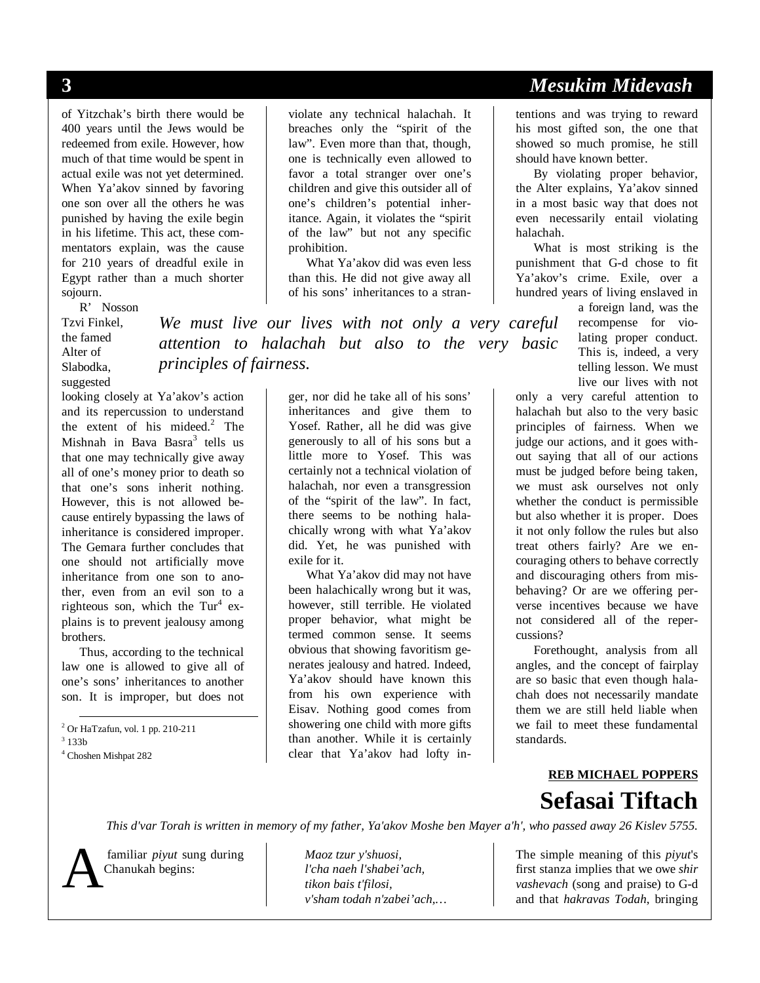of Yitzchak's birth there would be 400 years until the Jews would be redeemed from exile. However, how much of that time would be spent in actual exile was not yet determined. When Ya'akov sinned by favoring one son over all the others he was punished by having the exile begin in his lifetime. This act, these commentators explain, was the cause for 210 years of dreadful exile in Egypt rather than a much shorter sojourn.

R' Nosson

Tzvi Finkel, the famed Alter of Slabodka, suggested

looking closely at Ya'akov's action and its repercussion to understand the extent of his mideed. $2$  The Mishnah in Bava Basra<sup>3</sup> tells us that one may technically give away all of one's money prior to death so that one's sons inherit nothing. However, this is not allowed because entirely bypassing the laws of inheritance is considered improper. The Gemara further concludes that one should not artificially move inheritance from one son to another, even from an evil son to a righteous son, which the  $Tur<sup>4</sup>$  explains is to prevent jealousy among brothers.

Thus, according to the technical law one is allowed to give all of one's sons' inheritances to another son. It is improper, but does not

 2 Or HaTzafun, vol. 1 pp. 210-211  $3133b$ 4 Choshen Mishpat 282

violate any technical halachah. It breaches only the "spirit of the law". Even more than that, though, one is technically even allowed to favor a total stranger over one's children and give this outsider all of one's children's potential inheritance. Again, it violates the "spirit of the law" but not any specific prohibition.

What Ya'akov did was even less than this. He did not give away all of his sons' inheritances to a stran-

*We must live our lives with not only a very careful attention to halachah but also to the very basic principles of fairness.*

> ger, nor did he take all of his sons' inheritances and give them to Yosef. Rather, all he did was give generously to all of his sons but a little more to Yosef. This was certainly not a technical violation of halachah, nor even a transgression of the "spirit of the law". In fact, there seems to be nothing halachically wrong with what Ya'akov did. Yet, he was punished with exile for it.

> What Ya'akov did may not have been halachically wrong but it was, however, still terrible. He violated proper behavior, what might be termed common sense. It seems obvious that showing favoritism generates jealousy and hatred. Indeed, Ya'akov should have known this from his own experience with Eisav. Nothing good comes from showering one child with more gifts than another. While it is certainly clear that Ya'akov had lofty in-

## **3** *Mesukim Midevash*

tentions and was trying to reward his most gifted son, the one that showed so much promise, he still should have known better.

By violating proper behavior, the Alter explains, Ya'akov sinned in a most basic way that does not even necessarily entail violating halachah.

What is most striking is the punishment that G-d chose to fit Ya'akov's crime. Exile, over a hundred years of living enslaved in

> a foreign land, was the recompense for violating proper conduct. This is, indeed, a very telling lesson. We must live our lives with not

only a very careful attention to halachah but also to the very basic principles of fairness. When we judge our actions, and it goes without saying that all of our actions must be judged before being taken, we must ask ourselves not only whether the conduct is permissible but also whether it is proper. Does it not only follow the rules but also treat others fairly? Are we encouraging others to behave correctly and discouraging others from misbehaving? Or are we offering perverse incentives because we have not considered all of the repercussions?

Forethought, analysis from all angles, and the concept of fairplay are so basic that even though halachah does not necessarily mandate them we are still held liable when we fail to meet these fundamental standards.

#### **REB MICHAEL POPPERS Sefasai Tiftach**

*This d'var Torah is written in memory of my father, Ya'akov Moshe ben Mayer a'h', who passed away 26 Kislev 5755.*



 familiar *piyut* sung during Chanukah begins:

 *Maoz tzur y'shuosi, l'cha naeh l'shabei'ach, tikon bais t'filosi, v'sham todah n'zabei'ach,…* 

The simple meaning of this *piyut*'s first stanza implies that we owe *shir vashevach* (song and praise) to G-d A and that *hakravas Todah*, bringing